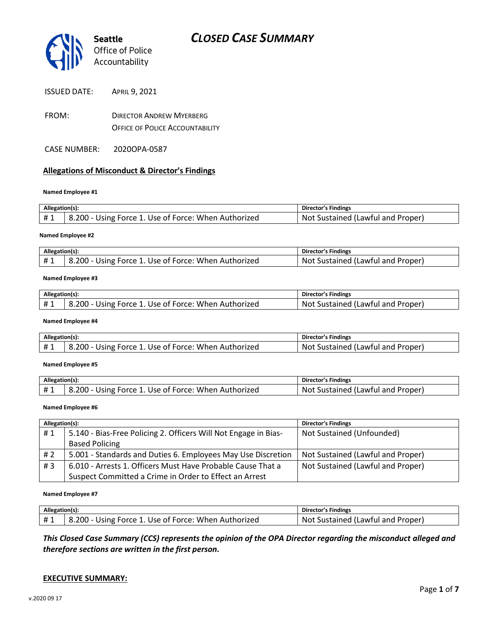

| <b>ISSUED DATE:</b> | APRIL 9, 2021 |
|---------------------|---------------|
|                     |               |

- FROM: DIRECTOR ANDREW MYERBERG OFFICE OF POLICE ACCOUNTABILITY
- CASE NUMBER: 2020OPA-0587

### **Allegations of Misconduct & Director's Findings**

### **Named Employee #1**

| Allegation(s): |                                                      | Director's Findings               |
|----------------|------------------------------------------------------|-----------------------------------|
| #1             | 8.200 - Using Force 1. Use of Force: When Authorized | Not Sustained (Lawful and Proper) |
|                |                                                      |                                   |

### **Named Employee #2**

| Allegation(s): |                                                                   | Director's Findings                              |
|----------------|-------------------------------------------------------------------|--------------------------------------------------|
| #1             | .200د<br>. Use of Force: When Authorized<br><b>Force</b><br>Jsinø | . Proper'<br>. Not<br>Sustained (1<br>Lawful and |

### **Named Employee #3**

| Allegation(s): |                                                      | <b>Director's Findings</b>               |
|----------------|------------------------------------------------------|------------------------------------------|
| <b>H</b> 1     | 8.200 - Using Force 1. Use of Force: When Authorized | : Sustained (Lawful and Proper)<br>Not ' |

### **Named Employee #4**

| Allegation(s): |                                                      | <b>Director's Findings</b>             |
|----------------|------------------------------------------------------|----------------------------------------|
|                | 8.200 - Using Force 1. Use of Force: When Authorized | Not<br>Proper<br>Sustained (Lawful and |

**Named Employee #5**

| Allegation(s): |                                                                        | Director's Findings                                |
|----------------|------------------------------------------------------------------------|----------------------------------------------------|
| # 1<br>.       | ا ا - 200. د $\,$<br>र Force 1. Use of Force: When Authorized<br>Using | . Not<br>. Proper'<br>Sustained (L<br>. Lawful and |

**Named Employee #6**

| Allegation(s): |                                                                 | <b>Director's Findings</b>        |
|----------------|-----------------------------------------------------------------|-----------------------------------|
| #1             | 5.140 - Bias-Free Policing 2. Officers Will Not Engage in Bias- | Not Sustained (Unfounded)         |
|                | <b>Based Policing</b>                                           |                                   |
| #2             | 5.001 - Standards and Duties 6. Employees May Use Discretion    | Not Sustained (Lawful and Proper) |
| #3             | 6.010 - Arrests 1. Officers Must Have Probable Cause That a     | Not Sustained (Lawful and Proper) |
|                | Suspect Committed a Crime in Order to Effect an Arrest          |                                   |

### **Named Employee #7**

| Allegation(s): |                                                                   | Director's Findings               |
|----------------|-------------------------------------------------------------------|-----------------------------------|
| #1             | <sup>1</sup> 8.200 - Using Force 1. Use of Force: When Authorized | Not Sustained (Lawful and Proper) |

*This Closed Case Summary (CCS) represents the opinion of the OPA Director regarding the misconduct alleged and therefore sections are written in the first person.* 

### **EXECUTIVE SUMMARY:**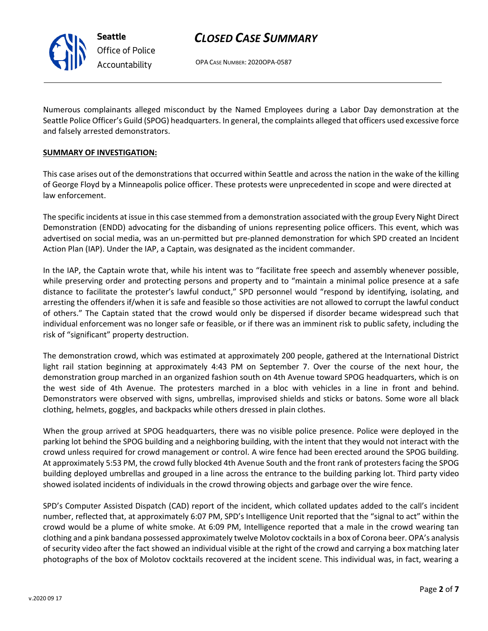v.2020 09 17

*CLOSED CASE SUMMARY*

OPA CASE NUMBER: 2020OPA-0587

Numerous complainants alleged misconduct by the Named Employees during a Labor Day demonstration at the Seattle Police Officer's Guild (SPOG) headquarters. In general, the complaints alleged that officers used excessive force and falsely arrested demonstrators.

### **SUMMARY OF INVESTIGATION:**

This case arises out of the demonstrations that occurred within Seattle and across the nation in the wake of the killing of George Floyd by a Minneapolis police officer. These protests were unprecedented in scope and were directed at law enforcement.

The specific incidents at issue in this case stemmed from a demonstration associated with the group Every Night Direct Demonstration (ENDD) advocating for the disbanding of unions representing police officers. This event, which was advertised on social media, was an un-permitted but pre-planned demonstration for which SPD created an Incident Action Plan (IAP). Under the IAP, a Captain, was designated as the incident commander.

In the IAP, the Captain wrote that, while his intent was to "facilitate free speech and assembly whenever possible, while preserving order and protecting persons and property and to "maintain a minimal police presence at a safe distance to facilitate the protester's lawful conduct," SPD personnel would "respond by identifying, isolating, and arresting the offenders if/when it is safe and feasible so those activities are not allowed to corrupt the lawful conduct of others." The Captain stated that the crowd would only be dispersed if disorder became widespread such that individual enforcement was no longer safe or feasible, or if there was an imminent risk to public safety, including the risk of "significant" property destruction.

The demonstration crowd, which was estimated at approximately 200 people, gathered at the International District light rail station beginning at approximately 4:43 PM on September 7. Over the course of the next hour, the demonstration group marched in an organized fashion south on 4th Avenue toward SPOG headquarters, which is on the west side of 4th Avenue. The protesters marched in a bloc with vehicles in a line in front and behind. Demonstrators were observed with signs, umbrellas, improvised shields and sticks or batons. Some wore all black clothing, helmets, goggles, and backpacks while others dressed in plain clothes.

When the group arrived at SPOG headquarters, there was no visible police presence. Police were deployed in the parking lot behind the SPOG building and a neighboring building, with the intent that they would not interact with the crowd unless required for crowd management or control. A wire fence had been erected around the SPOG building. At approximately 5:53 PM, the crowd fully blocked 4th Avenue South and the front rank of protesters facing the SPOG building deployed umbrellas and grouped in a line across the entrance to the building parking lot. Third party video showed isolated incidents of individuals in the crowd throwing objects and garbage over the wire fence.

SPD's Computer Assisted Dispatch (CAD) report of the incident, which collated updates added to the call's incident number, reflected that, at approximately 6:07 PM, SPD's Intelligence Unit reported that the "signal to act" within the crowd would be a plume of white smoke. At 6:09 PM, Intelligence reported that a male in the crowd wearing tan clothing and a pink bandana possessed approximately twelve Molotov cocktails in a box of Corona beer. OPA's analysis of security video after the fact showed an individual visible at the right of the crowd and carrying a box matching later photographs of the box of Molotov cocktails recovered at the incident scene. This individual was, in fact, wearing a

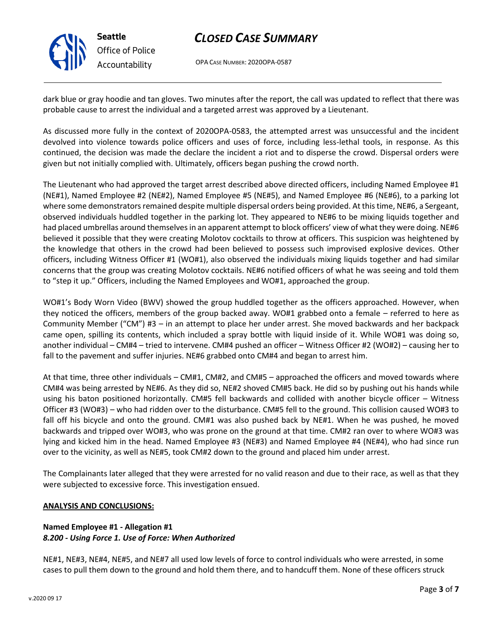

**Seattle** *Office of Police Accountability*

# *CLOSED CASE SUMMARY*

OPA CASE NUMBER: 2020OPA-0587

dark blue or gray hoodie and tan gloves. Two minutes after the report, the call was updated to reflect that there was probable cause to arrest the individual and a targeted arrest was approved by a Lieutenant.

As discussed more fully in the context of 2020OPA-0583, the attempted arrest was unsuccessful and the incident devolved into violence towards police officers and uses of force, including less-lethal tools, in response. As this continued, the decision was made the declare the incident a riot and to disperse the crowd. Dispersal orders were given but not initially complied with. Ultimately, officers began pushing the crowd north.

The Lieutenant who had approved the target arrest described above directed officers, including Named Employee #1 (NE#1), Named Employee #2 (NE#2), Named Employee #5 (NE#5), and Named Employee #6 (NE#6), to a parking lot where some demonstrators remained despite multiple dispersal orders being provided. At this time, NE#6, a Sergeant, observed individuals huddled together in the parking lot. They appeared to NE#6 to be mixing liquids together and had placed umbrellas around themselves in an apparent attempt to block officers' view of what they were doing. NE#6 believed it possible that they were creating Molotov cocktails to throw at officers. This suspicion was heightened by the knowledge that others in the crowd had been believed to possess such improvised explosive devices. Other officers, including Witness Officer #1 (WO#1), also observed the individuals mixing liquids together and had similar concerns that the group was creating Molotov cocktails. NE#6 notified officers of what he was seeing and told them to "step it up." Officers, including the Named Employees and WO#1, approached the group.

WO#1's Body Worn Video (BWV) showed the group huddled together as the officers approached. However, when they noticed the officers, members of the group backed away. WO#1 grabbed onto a female – referred to here as Community Member ("CM") #3 – in an attempt to place her under arrest. She moved backwards and her backpack came open, spilling its contents, which included a spray bottle with liquid inside of it. While WO#1 was doing so, another individual – CM#4 – tried to intervene. CM#4 pushed an officer – Witness Officer #2 (WO#2) – causing her to fall to the pavement and suffer injuries. NE#6 grabbed onto CM#4 and began to arrest him.

At that time, three other individuals – CM#1, CM#2, and CM#5 – approached the officers and moved towards where CM#4 was being arrested by NE#6. As they did so, NE#2 shoved CM#5 back. He did so by pushing out his hands while using his baton positioned horizontally. CM#5 fell backwards and collided with another bicycle officer – Witness Officer #3 (WO#3) – who had ridden over to the disturbance. CM#5 fell to the ground. This collision caused WO#3 to fall off his bicycle and onto the ground. CM#1 was also pushed back by NE#1. When he was pushed, he moved backwards and tripped over WO#3, who was prone on the ground at that time. CM#2 ran over to where WO#3 was lying and kicked him in the head. Named Employee #3 (NE#3) and Named Employee #4 (NE#4), who had since run over to the vicinity, as well as NE#5, took CM#2 down to the ground and placed him under arrest.

The Complainants later alleged that they were arrested for no valid reason and due to their race, as well as that they were subjected to excessive force. This investigation ensued.

## **ANALYSIS AND CONCLUSIONS:**

## **Named Employee #1 - Allegation #1** *8.200 - Using Force 1. Use of Force: When Authorized*

NE#1, NE#3, NE#4, NE#5, and NE#7 all used low levels of force to control individuals who were arrested, in some cases to pull them down to the ground and hold them there, and to handcuff them. None of these officers struck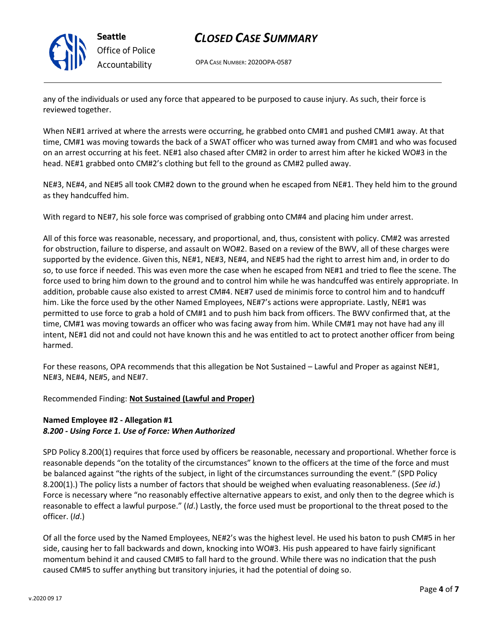

# *CLOSED CASE SUMMARY*

OPA CASE NUMBER: 2020OPA-0587

any of the individuals or used any force that appeared to be purposed to cause injury. As such, their force is reviewed together.

When NE#1 arrived at where the arrests were occurring, he grabbed onto CM#1 and pushed CM#1 away. At that time, CM#1 was moving towards the back of a SWAT officer who was turned away from CM#1 and who was focused on an arrest occurring at his feet. NE#1 also chased after CM#2 in order to arrest him after he kicked WO#3 in the head. NE#1 grabbed onto CM#2's clothing but fell to the ground as CM#2 pulled away.

NE#3, NE#4, and NE#5 all took CM#2 down to the ground when he escaped from NE#1. They held him to the ground as they handcuffed him.

With regard to NE#7, his sole force was comprised of grabbing onto CM#4 and placing him under arrest.

All of this force was reasonable, necessary, and proportional, and, thus, consistent with policy. CM#2 was arrested for obstruction, failure to disperse, and assault on WO#2. Based on a review of the BWV, all of these charges were supported by the evidence. Given this, NE#1, NE#3, NE#4, and NE#5 had the right to arrest him and, in order to do so, to use force if needed. This was even more the case when he escaped from NE#1 and tried to flee the scene. The force used to bring him down to the ground and to control him while he was handcuffed was entirely appropriate. In addition, probable cause also existed to arrest CM#4. NE#7 used de minimis force to control him and to handcuff him. Like the force used by the other Named Employees, NE#7's actions were appropriate. Lastly, NE#1 was permitted to use force to grab a hold of CM#1 and to push him back from officers. The BWV confirmed that, at the time, CM#1 was moving towards an officer who was facing away from him. While CM#1 may not have had any ill intent, NE#1 did not and could not have known this and he was entitled to act to protect another officer from being harmed.

For these reasons, OPA recommends that this allegation be Not Sustained – Lawful and Proper as against NE#1, NE#3, NE#4, NE#5, and NE#7.

Recommended Finding: **Not Sustained (Lawful and Proper)**

## **Named Employee #2 - Allegation #1** *8.200 - Using Force 1. Use of Force: When Authorized*

SPD Policy 8.200(1) requires that force used by officers be reasonable, necessary and proportional. Whether force is reasonable depends "on the totality of the circumstances" known to the officers at the time of the force and must be balanced against "the rights of the subject, in light of the circumstances surrounding the event." (SPD Policy 8.200(1).) The policy lists a number of factors that should be weighed when evaluating reasonableness. (*See id*.) Force is necessary where "no reasonably effective alternative appears to exist, and only then to the degree which is reasonable to effect a lawful purpose." (*Id*.) Lastly, the force used must be proportional to the threat posed to the officer. (*Id*.)

Of all the force used by the Named Employees, NE#2's was the highest level. He used his baton to push CM#5 in her side, causing her to fall backwards and down, knocking into WO#3. His push appeared to have fairly significant momentum behind it and caused CM#5 to fall hard to the ground. While there was no indication that the push caused CM#5 to suffer anything but transitory injuries, it had the potential of doing so.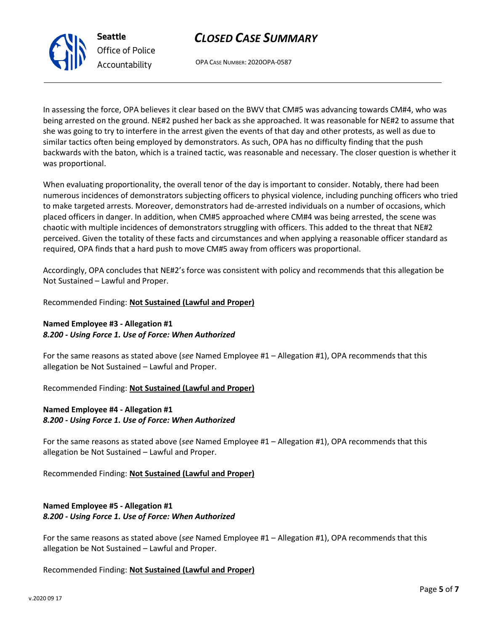In assessing the force, OPA believes it clear based on the BWV that CM#5 was advancing towards CM#4, who was being arrested on the ground. NE#2 pushed her back as she approached. It was reasonable for NE#2 to assume that she was going to try to interfere in the arrest given the events of that day and other protests, as well as due to similar tactics often being employed by demonstrators. As such, OPA has no difficulty finding that the push backwards with the baton, which is a trained tactic, was reasonable and necessary. The closer question is whether it was proportional.

*CLOSED CASE SUMMARY*

OPA CASE NUMBER: 2020OPA-0587

When evaluating proportionality, the overall tenor of the day is important to consider. Notably, there had been numerous incidences of demonstrators subjecting officers to physical violence, including punching officers who tried to make targeted arrests. Moreover, demonstrators had de-arrested individuals on a number of occasions, which placed officers in danger. In addition, when CM#5 approached where CM#4 was being arrested, the scene was chaotic with multiple incidences of demonstrators struggling with officers. This added to the threat that NE#2 perceived. Given the totality of these facts and circumstances and when applying a reasonable officer standard as required, OPA finds that a hard push to move CM#5 away from officers was proportional.

Accordingly, OPA concludes that NE#2's force was consistent with policy and recommends that this allegation be Not Sustained – Lawful and Proper.

### Recommended Finding: **Not Sustained (Lawful and Proper)**

### **Named Employee #3 - Allegation #1** *8.200 - Using Force 1. Use of Force: When Authorized*

**Seattle**

*Office of Police Accountability*

For the same reasons as stated above (*see* Named Employee #1 – Allegation #1), OPA recommends that this allegation be Not Sustained – Lawful and Proper.

Recommended Finding: **Not Sustained (Lawful and Proper)**

### **Named Employee #4 - Allegation #1** *8.200 - Using Force 1. Use of Force: When Authorized*

For the same reasons as stated above (*see* Named Employee #1 – Allegation #1), OPA recommends that this allegation be Not Sustained – Lawful and Proper.

Recommended Finding: **Not Sustained (Lawful and Proper)**

# **Named Employee #5 - Allegation #1**

*8.200 - Using Force 1. Use of Force: When Authorized*

For the same reasons as stated above (*see* Named Employee #1 – Allegation #1), OPA recommends that this allegation be Not Sustained – Lawful and Proper.

Recommended Finding: **Not Sustained (Lawful and Proper)**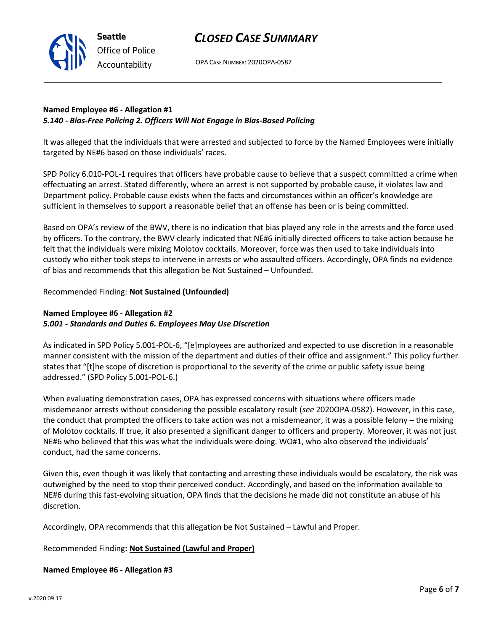OPA CASE NUMBER: 2020OPA-0587

# **Named Employee #6 - Allegation #1** *5.140 - Bias-Free Policing 2. Officers Will Not Engage in Bias-Based Policing*

It was alleged that the individuals that were arrested and subjected to force by the Named Employees were initially targeted by NE#6 based on those individuals' races.

SPD Policy 6.010-POL-1 requires that officers have probable cause to believe that a suspect committed a crime when effectuating an arrest. Stated differently, where an arrest is not supported by probable cause, it violates law and Department policy. Probable cause exists when the facts and circumstances within an officer's knowledge are sufficient in themselves to support a reasonable belief that an offense has been or is being committed.

Based on OPA's review of the BWV, there is no indication that bias played any role in the arrests and the force used by officers. To the contrary, the BWV clearly indicated that NE#6 initially directed officers to take action because he felt that the individuals were mixing Molotov cocktails. Moreover, force was then used to take individuals into custody who either took steps to intervene in arrests or who assaulted officers. Accordingly, OPA finds no evidence of bias and recommends that this allegation be Not Sustained – Unfounded.

### Recommended Finding: **Not Sustained (Unfounded)**

**Seattle**

*Office of Police Accountability*

# **Named Employee #6 - Allegation #2** *5.001 - Standards and Duties 6. Employees May Use Discretion*

As indicated in SPD Policy 5.001-POL-6, "[e]mployees are authorized and expected to use discretion in a reasonable manner consistent with the mission of the department and duties of their office and assignment." This policy further states that "[t]he scope of discretion is proportional to the severity of the crime or public safety issue being addressed." (SPD Policy 5.001-POL-6.)

When evaluating demonstration cases, OPA has expressed concerns with situations where officers made misdemeanor arrests without considering the possible escalatory result (*see* 2020OPA-0582). However, in this case, the conduct that prompted the officers to take action was not a misdemeanor, it was a possible felony – the mixing of Molotov cocktails. If true, it also presented a significant danger to officers and property. Moreover, it was not just NE#6 who believed that this was what the individuals were doing. WO#1, who also observed the individuals' conduct, had the same concerns.

Given this, even though it was likely that contacting and arresting these individuals would be escalatory, the risk was outweighed by the need to stop their perceived conduct. Accordingly, and based on the information available to NE#6 during this fast-evolving situation, OPA finds that the decisions he made did not constitute an abuse of his discretion.

Accordingly, OPA recommends that this allegation be Not Sustained – Lawful and Proper.

Recommended Finding**: Not Sustained (Lawful and Proper)**

**Named Employee #6 - Allegation #3**